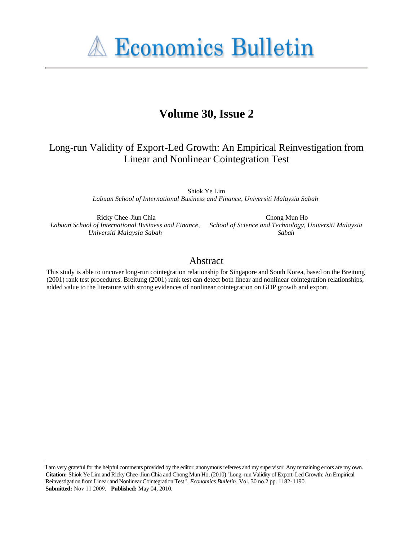**A Economics Bulletin** 

# **Volume 30, Issue 2**

# Long-run Validity of Export-Led Growth: An Empirical Reinvestigation from Linear and Nonlinear Cointegration Test

Shiok Ye Lim *Labuan School of International Business and Finance, Universiti Malaysia Sabah*

Ricky Chee-Jiun Chia *Labuan School of International Business and Finance, Universiti Malaysia Sabah*

Chong Mun Ho *School of Science and Technology, Universiti Malaysia Sabah*

# Abstract

This study is able to uncover long-run cointegration relationship for Singapore and South Korea, based on the Breitung (2001) rank test procedures. Breitung (2001) rank test can detect both linear and nonlinear cointegration relationships, added value to the literature with strong evidences of nonlinear cointegration on GDP growth and export.

I am very grateful for the helpful comments provided by the editor, anonymous referees and my supervisor. Any remaining errors are my own. **Citation:** Shiok Ye Lim and Ricky Chee-Jiun Chia and Chong Mun Ho, (2010) ''Long-run Validity of Export-Led Growth: An Empirical Reinvestigation from Linear and Nonlinear Cointegration Test '', *Economics Bulletin*, Vol. 30 no.2 pp. 1182-1190. **Submitted:** Nov 11 2009. **Published:** May 04, 2010.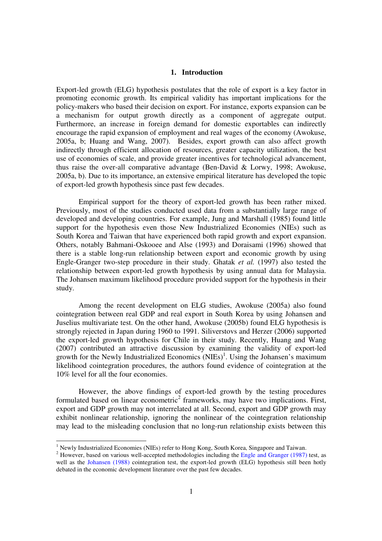# **1. Introduction**

Export-led growth (ELG) hypothesis postulates that the role of export is a key factor in promoting economic growth. Its empirical validity has important implications for the policy-makers who based their decision on export. For instance, exports expansion can be a mechanism for output growth directly as a component of aggregate output. Furthermore, an increase in foreign demand for domestic exportables can indirectly encourage the rapid expansion of employment and real wages of the economy (Awokuse, 2005a, b; Huang and Wang, 2007). Besides, export growth can also affect growth indirectly through efficient allocation of resources, greater capacity utilization, the best use of economies of scale, and provide greater incentives for technological advancement, thus raise the over-all comparative advantage (Ben-David & Lorwy, 1998; Awokuse, 2005a, b). Due to its importance, an extensive empirical literature has developed the topic of export-led growth hypothesis since past few decades.

Empirical support for the theory of export-led growth has been rather mixed. Previously, most of the studies conducted used data from a substantially large range of developed and developing countries. For example, Jung and Marshall (1985) found little support for the hypothesis even those New Industrialized Economies (NIEs) such as South Korea and Taiwan that have experienced both rapid growth and export expansion. Others, notably Bahmani-Oskooee and Alse (1993) and Doraisami (1996) showed that there is a stable long-run relationship between export and economic growth by using Engle-Granger two-step procedure in their study. Ghatak *et al.* (1997) also tested the relationship between export-led growth hypothesis by using annual data for Malaysia. The Johansen maximum likelihood procedure provided support for the hypothesis in their study.

Among the recent development on ELG studies, Awokuse (2005a) also found cointegration between real GDP and real export in South Korea by using Johansen and Juselius multivariate test. On the other hand, Awokuse (2005b) found ELG hypothesis is strongly rejected in Japan during 1960 to 1991. Siliverstovs and Herzer (2006) supported the export-led growth hypothesis for Chile in their study. Recently, Huang and Wang (2007) contributed an attractive discussion by examining the validity of export-led growth for the Newly Industrialized Economics (NIEs) 1 . Using the Johansen's maximum likelihood cointegration procedures, the authors found evidence of cointegration at the 10% level for all the four economies.

However, the above findings of export-led growth by the testing procedures formulated based on linear econometric<sup>2</sup> frameworks, may have two implications. First, export and GDP growth may not interrelated at all. Second, export and GDP growth may exhibit nonlinear relationship, ignoring the nonlinear of the cointegration relationship may lead to the misleading conclusion that no long-run relationship exists between this

 1 Newly Industrialized Economies (NIEs) refer to Hong Kong, South Korea, Singapore and Taiwan.

 $2$  However, based on various well-accepted methodologies including the Engle and Granger (1987) test, as well as the Johansen (1988) cointegration test, the export-led growth (ELG) hypothesis still been hotly debated in the economic development literature over the past few decades.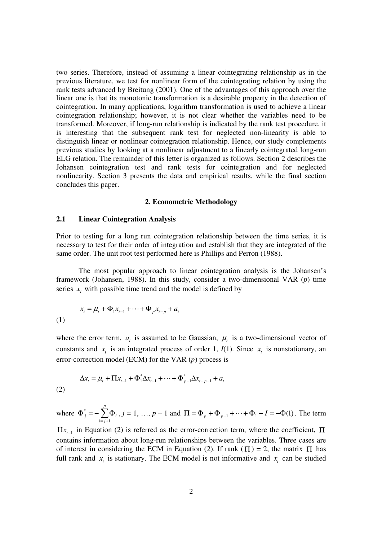two series. Therefore, instead of assuming a linear cointegrating relationship as in the previous literature, we test for nonlinear form of the cointegrating relation by using the rank tests advanced by Breitung (2001). One of the advantages of this approach over the linear one is that its monotonic transformation is a desirable property in the detection of cointegration. In many applications, logarithm transformation is used to achieve a linear cointegration relationship; however, it is not clear whether the variables need to be transformed. Moreover, if long-run relationship is indicated by the rank test procedure, it is interesting that the subsequent rank test for neglected non-linearity is able to distinguish linear or nonlinear cointegration relationship. Hence, our study complements previous studies by looking at a nonlinear adjustment to a linearly cointegrated long-run ELG relation. The remainder of this letter is organized as follows. Section 2 describes the Johansen cointegration test and rank tests for cointegration and for neglected nonlinearity. Section 3 presents the data and empirical results, while the final section concludes this paper.

#### **2. Econometric Methodology**

#### **2.1 Linear Cointegration Analysis**

Prior to testing for a long run cointegration relationship between the time series, it is necessary to test for their order of integration and establish that they are integrated of the same order. The unit root test performed here is Phillips and Perron (1988).

The most popular approach to linear cointegration analysis is the Johansen's framework (Johansen, 1988). In this study, consider a two-dimensional VAR (*p*) time series  $x_t$  with possible time trend and the model is defined by

(1) 
$$
x_{t} = \mu_{t} + \Phi_{1}x_{t-1} + \dots + \Phi_{p}x_{t-p} + a_{t}
$$

(2)

where the error term,  $a_t$  is assumed to be Gaussian,  $\mu_t$  is a two-dimensional vector of constants and  $x_t$  is an integrated process of order 1,  $I(1)$ . Since  $x_t$  is nonstationary, an error-correction model (ECM) for the VAR (*p*) process is

$$
\Delta x_t = \mu_t + \Pi x_{t-1} + \Phi_1^* \Delta x_{t-1} + \dots + \Phi_{p-1}^* \Delta x_{t-p+1} + a_t
$$

where 
$$
\Phi_j^* = -\sum_{i=j+1}^p \Phi_i
$$
,  $j = 1, ..., p-1$  and  $\Pi = \Phi_p + \Phi_{p-1} + ... + \Phi_1 - I = -\Phi(1)$ . The term

 $\Pi x$ <sub>t-1</sub> in Equation (2) is referred as the error-correction term, where the coefficient, Π contains information about long-run relationships between the variables. Three cases are of interest in considering the ECM in Equation (2). If rank ( $\Pi$ ) = 2, the matrix  $\Pi$  has full rank and  $x_t$  is stationary. The ECM model is not informative and  $x_t$  can be studied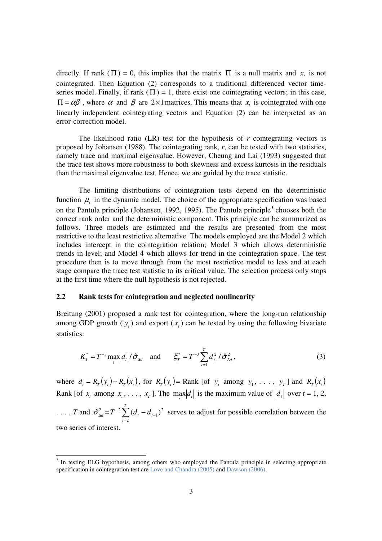directly. If rank ( $\Pi$ ) = 0, this implies that the matrix  $\Pi$  is a null matrix and  $x_t$  is not cointegrated. Then Equation (2) corresponds to a traditional differenced vector timeseries model. Finally, if rank  $(\Pi) = 1$ , there exist one cointegrating vectors; in this case,  $\Pi = \alpha \beta'$ , where  $\alpha$  and  $\beta$  are 2×1 matrices. This means that  $x_t$  is cointegrated with one linearly independent cointegrating vectors and Equation (2) can be interpreted as an error-correction model.

The likelihood ratio (LR) test for the hypothesis of *r* cointegrating vectors is proposed by Johansen (1988). The cointegrating rank, *r*, can be tested with two statistics, namely trace and maximal eigenvalue. However, Cheung and Lai (1993) suggested that the trace test shows more robustness to both skewness and excess kurtosis in the residuals than the maximal eigenvalue test. Hence, we are guided by the trace statistic.

The limiting distributions of cointegration tests depend on the deterministic function  $\mu$ <sub>t</sub> in the dynamic model. The choice of the appropriate specification was based on the Pantula principle (Johansen, 1992, 1995). The Pantula principle<sup>3</sup> chooses both the correct rank order and the deterministic component. This principle can be summarized as follows. Three models are estimated and the results are presented from the most restrictive to the least restrictive alternative. The models employed are the Model 2 which includes intercept in the cointegration relation; Model 3 which allows deterministic trends in level; and Model 4 which allows for trend in the cointegration space. The test procedure then is to move through from the most restrictive model to less and at each stage compare the trace test statistic to its critical value. The selection process only stops at the first time where the null hypothesis is not rejected.

### **2.2 Rank tests for cointegration and neglected nonlinearity**

Breitung (2001) proposed a rank test for cointegration, where the long-run relationship among GDP growth  $(y_t)$  and export  $(x_t)$  can be tested by using the following bivariate statistics:

$$
K_T^* = T^{-1} \max_i |d_i| / \hat{\sigma}_{\Delta d} \quad \text{and} \quad \xi_T^* = T^{-3} \sum_{t=1}^T d_t^2 / \hat{\sigma}_{\Delta d}^2, \tag{3}
$$

where  $d_t = R_T(y_t) - R_T(x_t)$ , for  $R_T(y_t) =$ Rank [of  $y_t$  among  $y_1, \ldots, y_T$ ] and  $R_T(x_t)$ Rank [of  $x_t$  among  $x_1, \ldots, x_T$ ]. The  $\max_t |d_t|$  is the maximum value of  $|d_t|$  over  $t = 1, 2$ ,

..., *T* and  $\hat{\sigma}_{\Delta d}^2 = T^{-2} \sum_{t=2}^T$ −  $^{-2}\sum_{i}$   $(d_{i} -$ *T t*  $T^{-2}$   $\sum (d_t - d_t)$ 2 2 1  $\sum_{i=1}^{2} (d_i - d_{i-1})^2$  serves to adjust for possible correlation between the two series of interest.

<sup>&</sup>lt;sup>3</sup> In testing ELG hypothesis, among others who employed the Pantula principle in selecting appropriate specification in cointegration test are Love and Chandra (2005) and Dawson (2006).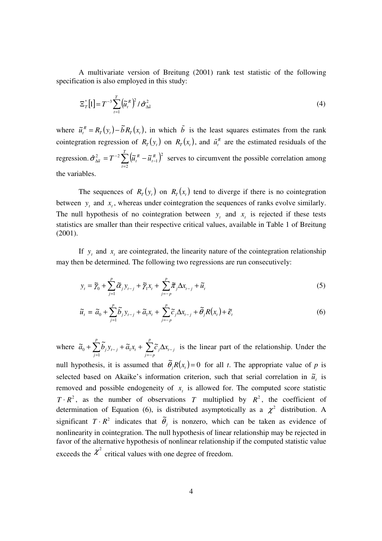A multivariate version of Breitung (2001) rank test statistic of the following specification is also employed in this study:

$$
\Xi_{T}^{*}[1] = T^{-3} \sum_{t=1}^{T} \left(\tilde{u}_{t}^{R}\right)^{2} / \hat{\sigma}_{\Delta \tilde{u}}^{2}
$$
\n
$$
\tag{4}
$$

where  $\tilde{u}_t^R = R_T(y_t) - \tilde{b} R_T(x_t)$  $\tilde{u}_t^R = R_T(y_t) - \tilde{b}R_T(x_t)$ , in which  $\tilde{b}$  is the least squares estimates from the rank cointegration regression of  $R_T(y_t)$  on  $R_T(x_t)$ , and  $\tilde{u}_t^R$  are the estimated residuals of the regression.  $\hat{\sigma}_{\Delta \tilde{a}}^2 = T^{-2} \sum_{t=2}^{I} (\tilde{a}_t^R - \tilde{a}_{t-1}^R)^2$ −  $\frac{2}{\Delta \widetilde{u}} = T^{-2} \sum^T \Bigl( \widetilde{\bm{\mu}}_t^{\: R} \;$ *t R t*  $\tilde{u}_{\tilde{\mu}} = T^{-2} \sum \left(\tilde{\mu}_t^R - \tilde{\mu}\right)$ 2 2 1  $\hat{\sigma}_{\lambda \tilde{u}}^2 = T^{-2} \sum_{i=1}^{N} \left( \tilde{u}_t^R - \tilde{u}_{t-1}^R \right)^2$  serves to circumvent the possible correlation among the variables.

The sequences of  $R_T(y_t)$  on  $R_T(x_t)$  tend to diverge if there is no cointegration between  $y_t$  and  $x_t$ , whereas under cointegration the sequences of ranks evolve similarly. The null hypothesis of no cointegration between  $y_t$  and  $x_t$  is rejected if these tests statistics are smaller than their respective critical values, available in Table 1 of Breitung (2001).

If  $y_t$  and  $x_t$  are cointegrated, the linearity nature of the cointegration relationship may then be determined. The following two regressions are run consecutively:

$$
y_t = \widetilde{\gamma}_0 + \sum_{j=1}^p \widetilde{\alpha}_j y_{t-j} + \widetilde{\gamma}_1 x_t + \sum_{j=-p}^p \widetilde{\pi}_j \Delta x_{t-j} + \widetilde{u}_t
$$
\n
$$
\tag{5}
$$

$$
\widetilde{u}_t = \widetilde{a}_0 + \sum_{j=1}^p \widetilde{b}_j y_{t-j} + \widetilde{a}_1 x_t + \sum_{j=-p}^p \widetilde{c}_j \Delta x_{t-j} + \widetilde{\theta}_j R(x_t) + \widetilde{\varepsilon}_t
$$
\n
$$
\tag{6}
$$

where  $\tilde{a}_0 + \sum_{j=1}^r \tilde{b}_j y_{t-j} + \tilde{a}_1 x_t + \sum_{j=-r}^r$ − =  $+\sum b_j y_{t-j} + \widetilde a_1 x_{t} + \sum \widetilde c_j \Delta$ *p j* = - *p*  $t \perp \angle$ <sup>*t*</sup> *j*  $\Delta t$ <sub>*t-j*</sub> *p j*  $\tilde{a}_0 + \sum_{j}^{p} \tilde{b}_j y_{t-j} + \tilde{a}_1 x_t + \sum_{j}^{p} \tilde{c}_j \Delta x$ 1  $\sum_{i=0}^{\infty} b_i y_{t-j} + \tilde{a}_1 x_t + \sum_{i=0}^{\infty} \tilde{c}_i \Delta x_{t-j}$  is the linear part of the relationship. Under the null hypothesis, it is assumed that  $\tilde{\theta}_j R(x_i) = 0$  for all *t*. The appropriate value of *p* is selected based on Akaike's information criterion, such that serial correlation in  $\tilde{u}_t$  is removed and possible endogeneity of  $x<sub>t</sub>$  is allowed for. The computed score statistic  $T \cdot R^2$ , as the number of observations *T* multiplied by  $R^2$ , the coefficient of determination of Equation (6), is distributed asymptotically as a  $\chi^2$  distribution. A significant  $T \cdot R^2$  indicates that  $\tilde{\theta}_j$  is nonzero, which can be taken as evidence of nonlinearity in cointegration. The null hypothesis of linear relationship may be rejected in favor of the alternative hypothesis of nonlinear relationship if the computed statistic value exceeds the  $\chi^2$  critical values with one degree of freedom.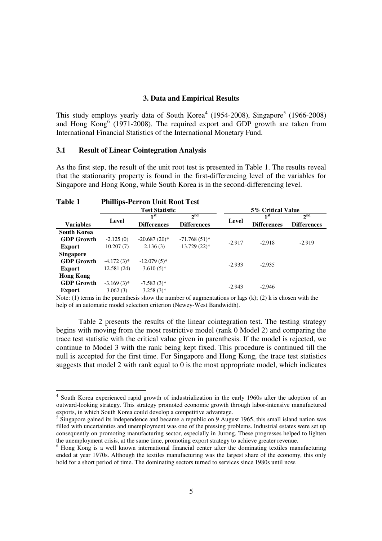# **3. Data and Empirical Results**

This study employs yearly data of South Korea<sup>4</sup> (1954-2008), Singapore<sup>5</sup> (1966-2008) and Hong  $Kong<sup>6</sup>$  (1971-2008). The required export and GDP growth are taken from International Financial Statistics of the International Monetary Fund.

### **3.1 Result of Linear Cointegration Analysis**

-

As the first step, the result of the unit root test is presented in Table 1. The results reveal that the stationarity property is found in the first-differencing level of the variables for Singapore and Hong Kong, while South Korea is in the second-differencing level.

| Table 1            |                       | <b>Phillips-Perron Unit Root Test</b> |                    |          |                    |                    |
|--------------------|-----------------------|---------------------------------------|--------------------|----------|--------------------|--------------------|
|                    | <b>Test Statistic</b> |                                       | 5% Critical Value  |          |                    |                    |
|                    |                       | 1 <sup>st</sup>                       | 2 <sup>nd</sup>    |          | 1 <sup>st</sup>    | $2^{\text{nd}}$    |
| <b>Variables</b>   | Level                 | <b>Differences</b>                    | <b>Differences</b> | Level    | <b>Differences</b> | <b>Differences</b> |
| <b>South Korea</b> |                       |                                       |                    |          |                    |                    |
| <b>GDP Growth</b>  | $-2.125(0)$           | $-20.687(20)$ *                       | $-71.768(51)$ *    | $-2.917$ | $-2.918$           | $-2.919$           |
| <b>Export</b>      | 10.207(7)             | $-2.136(3)$                           | $-13.729(22)$ *    |          |                    |                    |
| <b>Singapore</b>   |                       |                                       |                    |          |                    |                    |
| <b>GDP Growth</b>  | $-4.172(3)$ *         | $-12.079(5)$ *                        |                    |          | $-2.935$           |                    |
| <b>Export</b>      | 12.581 (24)           | $-3.610(5)$ *                         |                    | $-2.933$ |                    |                    |
| <b>Hong Kong</b>   |                       |                                       |                    |          |                    |                    |
| <b>GDP Growth</b>  | $-3.169(3)$ *         | $-7.583(3)^*$                         |                    | $-2.943$ | $-2.946$           |                    |
| <b>Export</b>      | 3.062(3)              | $-3.258(3)$ *                         |                    |          |                    |                    |

Note: (1) terms in the parenthesis show the number of augmentations or lags (k); (2) k is chosen with the help of an automatic model selection criterion (Newey-West Bandwidth).

 Table 2 presents the results of the linear cointegration test. The testing strategy begins with moving from the most restrictive model (rank 0 Model 2) and comparing the trace test statistic with the critical value given in parenthesis. If the model is rejected, we continue to Model 3 with the rank being kept fixed. This procedure is continued till the null is accepted for the first time. For Singapore and Hong Kong, the trace test statistics suggests that model 2 with rank equal to 0 is the most appropriate model, which indicates

<sup>&</sup>lt;sup>4</sup> South Korea experienced rapid growth of industrialization in the early 1960s after the adoption of an outward-looking strategy. This strategy promoted economic growth through labor-intensive manufactured exports, in which South Korea could develop a competitive advantage.

<sup>&</sup>lt;sup>5</sup> Singapore gained its independence and became a republic on 9 August 1965, this small island nation was filled with uncertainties and unemployment was one of the pressing problems. Industrial estates were set up consequently on promoting manufacturing sector, especially in Jurong. These progresses helped to lighten the unemployment crisis, at the same time, promoting export strategy to achieve greater revenue.

<sup>&</sup>lt;sup>6</sup> Hong Kong is a well known international financial center after the dominating textiles manufacturing ended at year 1970s. Although the textiles manufacturing was the largest share of the economy, this only hold for a short period of time. The dominating sectors turned to services since 1980s until now.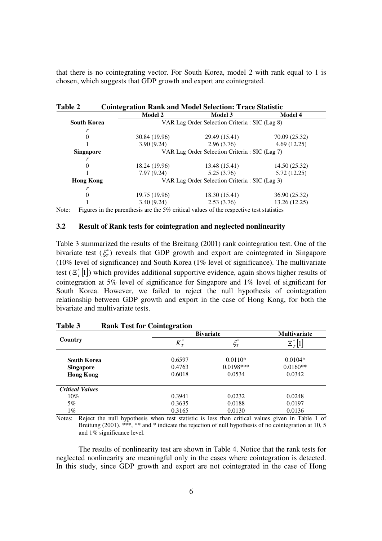that there is no cointegrating vector. For South Korea, model 2 with rank equal to 1 is chosen, which suggests that GDP growth and export are cointegrated.

| Table 2<br><b>Cointegration Rank and Model Selection: Trace Statistic</b> |                                                |                |                |  |  |
|---------------------------------------------------------------------------|------------------------------------------------|----------------|----------------|--|--|
|                                                                           | <b>Model 2</b>                                 | <b>Model 3</b> | <b>Model 4</b> |  |  |
| <b>South Korea</b>                                                        | VAR Lag Order Selection Criteria: SIC (Lag 8)  |                |                |  |  |
| r                                                                         |                                                |                |                |  |  |
| 0                                                                         | 30.84 (19.96)                                  | 29.49 (15.41)  | 70.09 (25.32)  |  |  |
|                                                                           | 3.90(9.24)                                     | 2.96(3.76)     | 4.69(12.25)    |  |  |
| <b>Singapore</b>                                                          | VAR Lag Order Selection Criteria : SIC (Lag 7) |                |                |  |  |
|                                                                           |                                                |                |                |  |  |
| 0                                                                         | 18.24 (19.96)                                  | 13.48 (15.41)  | 14.50 (25.32)  |  |  |
|                                                                           | 7.97(9.24)                                     | 5.25(3.76)     | 5.72 (12.25)   |  |  |
| <b>Hong Kong</b>                                                          | VAR Lag Order Selection Criteria : SIC (Lag 3) |                |                |  |  |
|                                                                           |                                                |                |                |  |  |
| 0                                                                         | 19.75 (19.96)                                  | 18.30 (15.41)  | 36.90 (25.32)  |  |  |
|                                                                           | 3.40(9.24)                                     | 2.53(3.76)     | 13.26 (12.25)  |  |  |

Note: Figures in the parenthesis are the 5% critical values of the respective test statistics

# **3.2 Result of Rank tests for cointegration and neglected nonlinearity**

Table 3 summarized the results of the Breitung (2001) rank cointegration test. One of the bivariate test  $(\xi^*_T)$  reveals that GDP growth and export are cointegrated in Singapore (10% level of significance) and South Korea (1% level of significance). The multivariate test  $(\mathbb{E}_{T}^{*}[1])$  which provides additional supportive evidence, again shows higher results of cointegration at 5% level of significance for Singapore and 1% level of significant for South Korea. However, we failed to reject the null hypothesis of cointegration relationship between GDP growth and export in the case of Hong Kong, for both the bivariate and multivariate tests.

|                        | <b>Bivariate</b> | <b>Multivariate</b> |              |
|------------------------|------------------|---------------------|--------------|
| Country                | $K^*_{\tau}$     | $\xi^*_T$           | $\Xi^*_T[1]$ |
| <b>South Korea</b>     | 0.6597           | $0.0110*$           | $0.0104*$    |
| <b>Singapore</b>       | 0.4763           | $0.0198***$         | $0.0160**$   |
| <b>Hong Kong</b>       | 0.6018           | 0.0534              | 0.0342       |
| <b>Critical Values</b> |                  |                     |              |
| $10\%$                 | 0.3941           | 0.0232              | 0.0248       |
| 5%                     | 0.3635           | 0.0188              | 0.0197       |
| 1%                     | 0.3165           | 0.0130              | 0.0136       |

#### **Table 3 Rank Test for Cointegration**

Notes: Reject the null hypothesis when test statistic is less than critical values given in Table 1 of Breitung (2001). \*\*\*, \*\* and \* indicate the rejection of null hypothesis of no cointegration at 10, 5 and 1% significance level.

The results of nonlinearity test are shown in Table 4. Notice that the rank tests for neglected nonlinearity are meaningful only in the cases where cointegration is detected. In this study, since GDP growth and export are not cointegrated in the case of Hong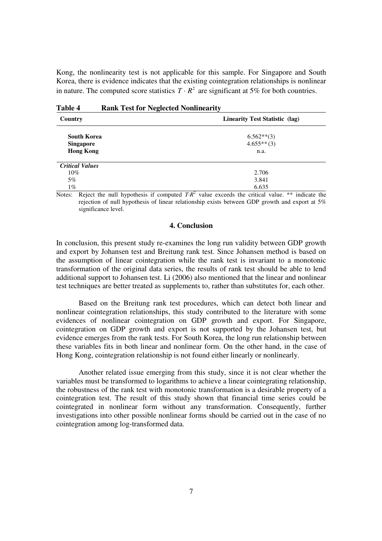Kong, the nonlinearity test is not applicable for this sample. For Singapore and South Korea, there is evidence indicates that the existing cointegration relationships is nonlinear in nature. The computed score statistics  $T \cdot R^2$  are significant at 5% for both countries.

| Country                | <b>Linearity Test Statistic (lag)</b> |  |  |
|------------------------|---------------------------------------|--|--|
| <b>South Korea</b>     | $6.562**$ (3)                         |  |  |
| <b>Singapore</b>       | $4.655**$ (3)                         |  |  |
| <b>Hong Kong</b>       | n.a.                                  |  |  |
| <b>Critical Values</b> |                                       |  |  |
| $10\%$                 | 2.706                                 |  |  |
| $5\%$                  | 3.841                                 |  |  |
| $1\%$                  | 6.635<br>$\overline{\phantom{a}}$     |  |  |

Notes: Reject the null hypothesis if computed  $TR^2$  value exceeds the critical value. \*\* indicate the rejection of null hypothesis of linear relationship exists between GDP growth and export at 5% significance level.

#### **4. Conclusion**

In conclusion, this present study re-examines the long run validity between GDP growth and export by Johansen test and Breitung rank test. Since Johansen method is based on the assumption of linear cointegration while the rank test is invariant to a monotonic transformation of the original data series, the results of rank test should be able to lend additional support to Johansen test. Li (2006) also mentioned that the linear and nonlinear test techniques are better treated as supplements to, rather than substitutes for, each other.

Based on the Breitung rank test procedures, which can detect both linear and nonlinear cointegration relationships, this study contributed to the literature with some evidences of nonlinear cointegration on GDP growth and export. For Singapore, cointegration on GDP growth and export is not supported by the Johansen test, but evidence emerges from the rank tests. For South Korea, the long run relationship between these variables fits in both linear and nonlinear form. On the other hand, in the case of Hong Kong, cointegration relationship is not found either linearly or nonlinearly.

Another related issue emerging from this study, since it is not clear whether the variables must be transformed to logarithms to achieve a linear cointegrating relationship, the robustness of the rank test with monotonic transformation is a desirable property of a cointegration test. The result of this study shown that financial time series could be cointegrated in nonlinear form without any transformation. Consequently, further investigations into other possible nonlinear forms should be carried out in the case of no cointegration among log-transformed data.